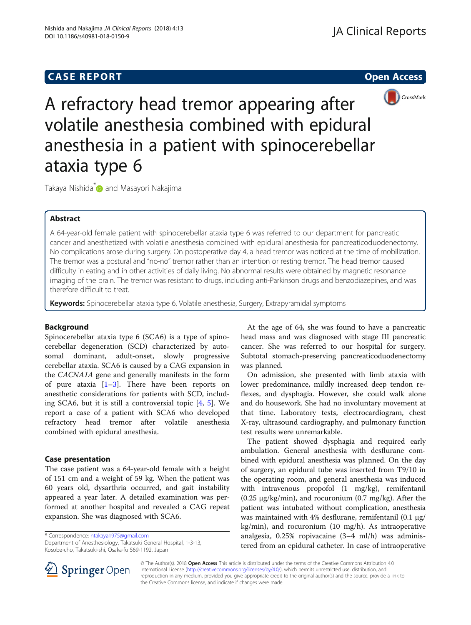# **CASE REPORT CASE REPORT CASE REPORT**



A refractory head tremor appearing after volatile anesthesia combined with epidural anesthesia in a patient with spinocerebellar ataxia type 6

Takaya Nishida<sup>[\\*](http://orcid.org/0000-0001-7163-1086)</sup> and Masayori Nakajima

# Abstract

A 64-year-old female patient with spinocerebellar ataxia type 6 was referred to our department for pancreatic cancer and anesthetized with volatile anesthesia combined with epidural anesthesia for pancreaticoduodenectomy. No complications arose during surgery. On postoperative day 4, a head tremor was noticed at the time of mobilization. The tremor was a postural and "no-no" tremor rather than an intention or resting tremor. The head tremor caused difficulty in eating and in other activities of daily living. No abnormal results were obtained by magnetic resonance imaging of the brain. The tremor was resistant to drugs, including anti-Parkinson drugs and benzodiazepines, and was therefore difficult to treat.

Keywords: Spinocerebellar ataxia type 6, Volatile anesthesia, Surgery, Extrapyramidal symptoms

# Background

Spinocerebellar ataxia type 6 (SCA6) is a type of spinocerebellar degeneration (SCD) characterized by autosomal dominant, adult-onset, slowly progressive cerebellar ataxia. SCA6 is caused by a CAG expansion in the CACNA1A gene and generally manifests in the form of pure ataxia  $[1-3]$  $[1-3]$  $[1-3]$  $[1-3]$ . There have been reports on anesthetic considerations for patients with SCD, including SCA6, but it is still a controversial topic [\[4](#page-2-0), [5](#page-2-0)]. We report a case of a patient with SCA6 who developed refractory head tremor after volatile anesthesia combined with epidural anesthesia.

# Case presentation

The case patient was a 64-year-old female with a height of 151 cm and a weight of 59 kg. When the patient was 60 years old, dysarthria occurred, and gait instability appeared a year later. A detailed examination was performed at another hospital and revealed a CAG repeat expansion. She was diagnosed with SCA6.

\* Correspondence: [ntakaya1975@gmail.com](mailto:ntakaya1975@gmail.com)

Department of Anesthesiology, Takatsuki General Hospital, 1-3-13, Kosobe-cho, Takatsuki-shi, Osaka-fu 569-1192, Japan

At the age of 64, she was found to have a pancreatic head mass and was diagnosed with stage III pancreatic cancer. She was referred to our hospital for surgery. Subtotal stomach-preserving pancreaticoduodenectomy was planned.

On admission, she presented with limb ataxia with lower predominance, mildly increased deep tendon reflexes, and dysphagia. However, she could walk alone and do housework. She had no involuntary movement at that time. Laboratory tests, electrocardiogram, chest X-ray, ultrasound cardiography, and pulmonary function test results were unremarkable.

The patient showed dysphagia and required early ambulation. General anesthesia with desflurane combined with epidural anesthesia was planned. On the day of surgery, an epidural tube was inserted from T9/10 in the operating room, and general anesthesia was induced with intravenous propofol (1 mg/kg), remifentanil (0.25 μg/kg/min), and rocuronium (0.7 mg/kg). After the patient was intubated without complication, anesthesia was maintained with 4% desflurane, remifentanil (0.1 μg/ kg/min), and rocuronium (10 mg/h). As intraoperative analgesia, 0.25% ropivacaine (3–4 ml/h) was administered from an epidural catheter. In case of intraoperative



© The Author(s). 2018 Open Access This article is distributed under the terms of the Creative Commons Attribution 4.0 International License ([http://creativecommons.org/licenses/by/4.0/\)](http://creativecommons.org/licenses/by/4.0/), which permits unrestricted use, distribution, and reproduction in any medium, provided you give appropriate credit to the original author(s) and the source, provide a link to the Creative Commons license, and indicate if changes were made.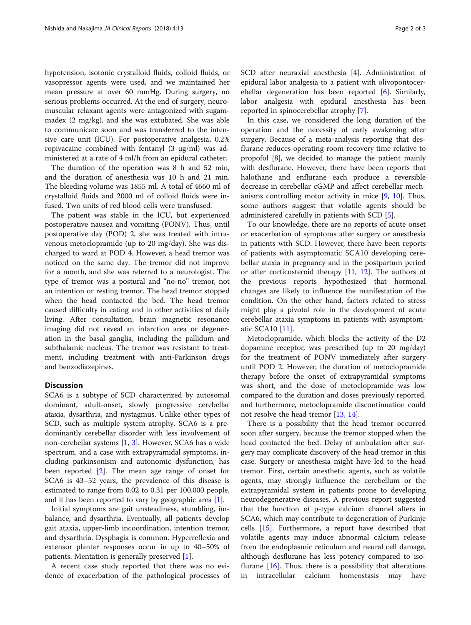hypotension, isotonic crystalloid fluids, colloid fluids, or vasopressor agents were used, and we maintained her mean pressure at over 60 mmHg. During surgery, no serious problems occurred. At the end of surgery, neuromuscular relaxant agents were antagonized with sugammadex (2 mg/kg), and she was extubated. She was able to communicate soon and was transferred to the intensive care unit (ICU). For postoperative analgesia, 0.2% ropivacaine combined with fentanyl (3 μg/ml) was administered at a rate of 4 ml/h from an epidural catheter.

The duration of the operation was 8 h and 52 min, and the duration of anesthesia was 10 h and 21 min. The bleeding volume was 1855 ml. A total of 4660 ml of crystalloid fluids and 2000 ml of colloid fluids were infused. Two units of red blood cells were transfused.

The patient was stable in the ICU, but experienced postoperative nausea and vomiting (PONV). Thus, until postoperative day (POD) 2, she was treated with intravenous metoclopramide (up to 20 mg/day). She was discharged to ward at POD 4. However, a head tremor was noticed on the same day. The tremor did not improve for a month, and she was referred to a neurologist. The type of tremor was a postural and "no-no" tremor, not an intention or resting tremor. The head tremor stopped when the head contacted the bed. The head tremor caused difficulty in eating and in other activities of daily living. After consultation, brain magnetic resonance imaging did not reveal an infarction area or degeneration in the basal ganglia, including the pallidum and subthalamic nucleus. The tremor was resistant to treatment, including treatment with anti-Parkinson drugs and benzodiazepines.

### **Discussion**

SCA6 is a subtype of SCD characterized by autosomal dominant, adult-onset, slowly progressive cerebellar ataxia, dysarthria, and nystagmus. Unlike other types of SCD, such as multiple system atrophy, SCA6 is a predominantly cerebellar disorder with less involvement of non-cerebellar systems [\[1](#page-2-0), [3](#page-2-0)]. However, SCA6 has a wide spectrum, and a case with extrapyramidal symptoms, including parkinsonism and autonomic dysfunction, has been reported [\[2](#page-2-0)]. The mean age range of onset for SCA6 is 43–52 years, the prevalence of this disease is estimated to range from 0.02 to 0.31 per 100,000 people, and it has been reported to vary by geographic area [[1\]](#page-2-0).

Initial symptoms are gait unsteadiness, stumbling, imbalance, and dysarthria. Eventually, all patients develop gait ataxia, upper-limb incoordination, intention tremor, and dysarthria. Dysphagia is common. Hyperreflexia and extensor plantar responses occur in up to 40–50% of patients. Mentation is generally preserved [\[1](#page-2-0)].

A recent case study reported that there was no evidence of exacerbation of the pathological processes of SCD after neuraxial anesthesia [[4\]](#page-2-0). Administration of epidural labor analgesia to a patient with olivopontocerebellar degeneration has been reported [[6](#page-2-0)]. Similarly, labor analgesia with epidural anesthesia has been reported in spinocerebellar atrophy [\[7](#page-2-0)].

In this case, we considered the long duration of the operation and the necessity of early awakening after surgery. Because of a meta-analysis reporting that desflurane reduces operating room recovery time relative to propofol [\[8\]](#page-2-0), we decided to manage the patient mainly with desflurane. However, there have been reports that halothane and enflurane each produce a reversible decrease in cerebellar cGMP and affect cerebellar mechanisms controlling motor activity in mice [[9](#page-2-0), [10](#page-2-0)]. Thus, some authors suggest that volatile agents should be administered carefully in patients with SCD [[5\]](#page-2-0).

To our knowledge, there are no reports of acute onset or exacerbation of symptoms after surgery or anesthesia in patients with SCD. However, there have been reports of patients with asymptomatic SCA10 developing cerebellar ataxia in pregnancy and in the postpartum period or after corticosteroid therapy  $[11, 12]$  $[11, 12]$  $[11, 12]$  $[11, 12]$ . The authors of the previous reports hypothesized that hormonal changes are likely to influence the manifestation of the condition. On the other hand, factors related to stress might play a pivotal role in the development of acute cerebellar ataxia symptoms in patients with asymptomatic SCA10 [[11\]](#page-2-0).

Metoclopramide, which blocks the activity of the D2 dopamine receptor, was prescribed (up to 20 mg/day) for the treatment of PONV immediately after surgery until POD 2. However, the duration of metoclopramide therapy before the onset of extrapyramidal symptoms was short, and the dose of metoclopramide was low compared to the duration and doses previously reported, and furthermore, metoclopramide discontinuation could not resolve the head tremor [\[13](#page-2-0), [14\]](#page-2-0).

There is a possibility that the head tremor occurred soon after surgery, because the tremor stopped when the head contacted the bed. Delay of ambulation after surgery may complicate discovery of the head tremor in this case. Surgery or anesthesia might have led to the head tremor. First, certain anesthetic agents, such as volatile agents, may strongly influence the cerebellum or the extrapyramidal system in patients prone to developing neurodegenerative diseases. A previous report suggested that the function of p-type calcium channel alters in SCA6, which may contribute to degeneration of Purkinje cells [\[15](#page-2-0)]. Furthermore, a report have described that volatile agents may induce abnormal calcium release from the endoplasmic reticulum and neural cell damage, although desflurane has less potency compared to isoflurane  $[16]$  $[16]$  $[16]$ . Thus, there is a possibility that alterations in intracellular calcium homeostasis may have